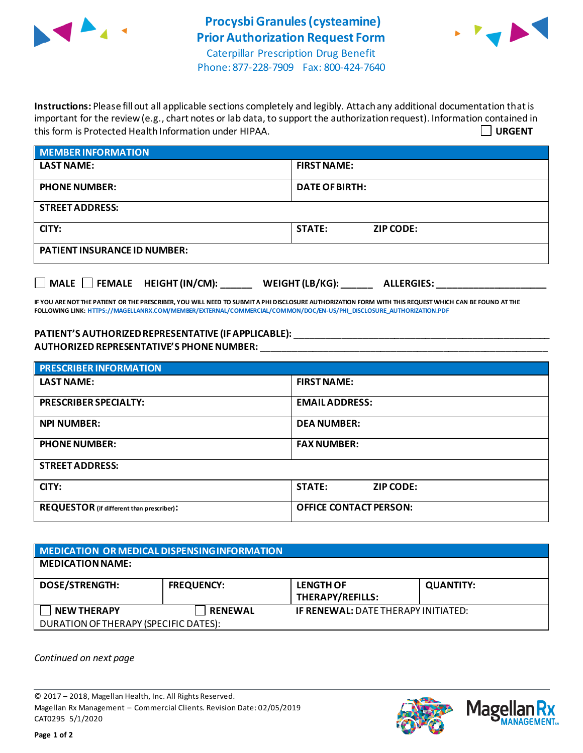



**Instructions:** Please fill out all applicable sections completely and legibly. Attach any additional documentation that is important for the review (e.g., chart notes or lab data, to support the authorization request). Information contained in this form is Protected Health Information under HIPAA. **URGENT**

| <b>MEMBER INFORMATION</b>           |                                   |  |  |
|-------------------------------------|-----------------------------------|--|--|
| <b>LAST NAME:</b>                   | <b>FIRST NAME:</b>                |  |  |
| <b>PHONE NUMBER:</b>                | <b>DATE OF BIRTH:</b>             |  |  |
| <b>STREET ADDRESS:</b>              |                                   |  |  |
| CITY:                               | <b>STATE:</b><br><b>ZIP CODE:</b> |  |  |
| <b>PATIENT INSURANCE ID NUMBER:</b> |                                   |  |  |
|                                     |                                   |  |  |

**IF YOU ARE NOT THE PATIENT OR THE PRESCRIBER, YOU WILL NEED TO SUBMIT A PHI DISCLOSURE AUTHORIZATION FORM WITH THIS REQUEST WHICH CAN BE FOUND AT THE FOLLOWING LINK[: HTTPS://MAGELLANRX.COM/MEMBER/EXTERNAL/COMMERCIAL/COMMON/DOC/EN-US/PHI\\_DISCLOSURE\\_AUTHORIZATION.PDF](https://magellanrx.com/member/external/commercial/common/doc/en-us/PHI_Disclosure_Authorization.pdf)**

**MALE FEMALE HEIGHT (IN/CM): \_\_\_\_\_\_ WEIGHT (LB/KG): \_\_\_\_\_\_ ALLERGIES: \_\_\_\_\_\_\_\_\_\_\_\_\_\_\_\_\_\_\_\_\_**

**PATIENT'S AUTHORIZEDREPRESENTATIVE (IF APPLICABLE):** \_\_\_\_\_\_\_\_\_\_\_\_\_\_\_\_\_\_\_\_\_\_\_\_\_\_\_\_\_\_\_\_\_\_\_\_\_\_\_\_\_\_\_\_\_\_\_\_\_ **AUTHORIZED REPRESENTATIVE'S PHONE NUMBER:** \_\_\_\_\_\_\_\_\_\_\_\_\_\_\_\_\_\_\_\_\_\_\_\_\_\_\_\_\_\_\_\_\_\_\_\_\_\_\_\_\_\_\_\_\_\_\_\_\_\_\_\_\_\_\_

| <b>PRESCRIBER INFORMATION</b>             |                                   |  |  |  |
|-------------------------------------------|-----------------------------------|--|--|--|
| <b>LAST NAME:</b>                         | <b>FIRST NAME:</b>                |  |  |  |
| <b>PRESCRIBER SPECIALTY:</b>              | <b>EMAIL ADDRESS:</b>             |  |  |  |
| <b>NPI NUMBER:</b>                        | <b>DEA NUMBER:</b>                |  |  |  |
| <b>PHONE NUMBER:</b>                      | <b>FAX NUMBER:</b>                |  |  |  |
| <b>STREET ADDRESS:</b>                    |                                   |  |  |  |
| CITY:                                     | <b>STATE:</b><br><b>ZIP CODE:</b> |  |  |  |
| REQUESTOR (if different than prescriber): | <b>OFFICE CONTACT PERSON:</b>     |  |  |  |

| MEDICATION OR MEDICAL DISPENSING INFORMATION |                   |                                            |                  |  |  |
|----------------------------------------------|-------------------|--------------------------------------------|------------------|--|--|
| <b>MEDICATION NAME:</b>                      |                   |                                            |                  |  |  |
| <b>DOSE/STRENGTH:</b>                        | <b>FREQUENCY:</b> | <b>LENGTH OF</b><br>THERAPY/REFILLS:       | <b>QUANTITY:</b> |  |  |
| <b>NEW THERAPY</b>                           | <b>RENEWAL</b>    | <b>IF RENEWAL: DATE THERAPY INITIATED:</b> |                  |  |  |
| DURATION OF THERAPY (SPECIFIC DATES):        |                   |                                            |                  |  |  |

*Continued on next page*

© 2017 – 2018, Magellan Health, Inc. All Rights Reserved. Magellan Rx Management – Commercial Clients. Revision Date: 02/05/2019 CAT0295 5/1/2020